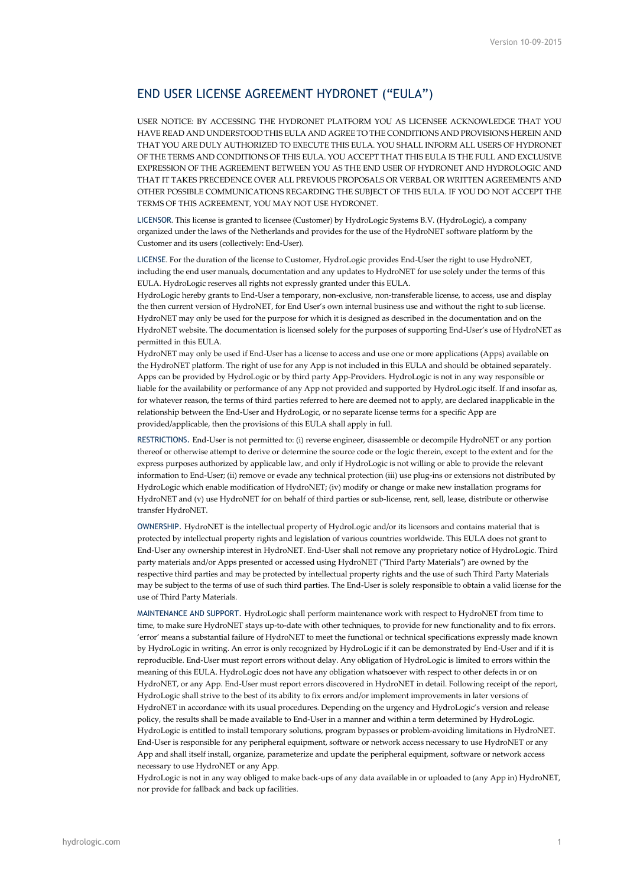## END USER LICENSE AGREEMENT HYDRONET ("EULA")

USER NOTICE: BY ACCESSING THE HYDRONET PLATFORM YOU AS LICENSEE ACKNOWLEDGE THAT YOU HAVE READ AND UNDERSTOOD THIS EULA AND AGREE TO THE CONDITIONS AND PROVISIONS HEREIN AND THAT YOU ARE DULY AUTHORIZED TO EXECUTE THIS EULA. YOU SHALL INFORM ALL USERS OF HYDRONET OF THE TERMS AND CONDITIONS OF THIS EULA. YOU ACCEPT THAT THIS EULA IS THE FULL AND EXCLUSIVE EXPRESSION OF THE AGREEMENT BETWEEN YOU AS THE END USER OF HYDRONET AND HYDROLOGIC AND THAT IT TAKES PRECEDENCE OVER ALL PREVIOUS PROPOSALS OR VERBAL OR WRITTEN AGREEMENTS AND OTHER POSSIBLE COMMUNICATIONS REGARDING THE SUBJECT OF THIS EULA. IF YOU DO NOT ACCEPT THE TERMS OF THIS AGREEMENT, YOU MAY NOT USE HYDRONET.

LICENSOR. This license is granted to licensee (Customer) by HydroLogic Systems B.V. (HydroLogic), a company organized under the laws of the Netherlands and provides for the use of the HydroNET software platform by the Customer and its users (collectively: End-User).

LICENSE. For the duration of the license to Customer, HydroLogic provides End-User the right to use HydroNET, including the end user manuals, documentation and any updates to HydroNET for use solely under the terms of this EULA. HydroLogic reserves all rights not expressly granted under this EULA.

HydroLogic hereby grants to End-User a temporary, non-exclusive, non-transferable license, to access, use and display the then current version of HydroNET, for End User's own internal business use and without the right to sub license. HydroNET may only be used for the purpose for which it is designed as described in the documentation and on the HydroNET website. The documentation is licensed solely for the purposes of supporting End-User's use of HydroNET as permitted in this EULA.

HydroNET may only be used if End-User has a license to access and use one or more applications (Apps) available on the HydroNET platform. The right of use for any App is not included in this EULA and should be obtained separately. Apps can be provided by HydroLogic or by third party App-Providers. HydroLogic is not in any way responsible or liable for the availability or performance of any App not provided and supported by HydroLogic itself. If and insofar as, for whatever reason, the terms of third parties referred to here are deemed not to apply, are declared inapplicable in the relationship between the End-User and HydroLogic, or no separate license terms for a specific App are provided/applicable, then the provisions of this EULA shall apply in full.

RESTRICTIONS. End-User is not permitted to: (i) reverse engineer, disassemble or decompile HydroNET or any portion thereof or otherwise attempt to derive or determine the source code or the logic therein, except to the extent and for the express purposes authorized by applicable law, and only if HydroLogic is not willing or able to provide the relevant information to End-User; (ii) remove or evade any technical protection (iii) use plug-ins or extensions not distributed by HydroLogic which enable modification of HydroNET; (iv) modify or change or make new installation programs for HydroNET and (v) use HydroNET for on behalf of third parties or sub-license, rent, sell, lease, distribute or otherwise transfer HydroNET.

OWNERSHIP. HydroNET is the intellectual property of HydroLogic and/or its licensors and contains material that is protected by intellectual property rights and legislation of various countries worldwide. This EULA does not grant to End-User any ownership interest in HydroNET. End-User shall not remove any proprietary notice of HydroLogic. Third party materials and/or Apps presented or accessed using HydroNET ("Third Party Materials") are owned by the respective third parties and may be protected by intellectual property rights and the use of such Third Party Materials may be subject to the terms of use of such third parties. The End-User is solely responsible to obtain a valid license for the use of Third Party Materials.

MAINTENANCE AND SUPPORT. HydroLogic shall perform maintenance work with respect to HydroNET from time to time, to make sure HydroNET stays up-to-date with other techniques, to provide for new functionality and to fix errors. 'error' means a substantial failure of HydroNET to meet the functional or technical specifications expressly made known by HydroLogic in writing. An error is only recognized by HydroLogic if it can be demonstrated by End-User and if it is reproducible. End-User must report errors without delay. Any obligation of HydroLogic is limited to errors within the meaning of this EULA. HydroLogic does not have any obligation whatsoever with respect to other defects in or on HydroNET, or any App. End-User must report errors discovered in HydroNET in detail. Following receipt of the report, HydroLogic shall strive to the best of its ability to fix errors and/or implement improvements in later versions of HydroNET in accordance with its usual procedures. Depending on the urgency and HydroLogic's version and release policy, the results shall be made available to End-User in a manner and within a term determined by HydroLogic. HydroLogic is entitled to install temporary solutions, program bypasses or problem-avoiding limitations in HydroNET. End-User is responsible for any peripheral equipment, software or network access necessary to use HydroNET or any App and shall itself install, organize, parameterize and update the peripheral equipment, software or network access necessary to use HydroNET or any App.

HydroLogic is not in any way obliged to make back-ups of any data available in or uploaded to (any App in) HydroNET, nor provide for fallback and back up facilities.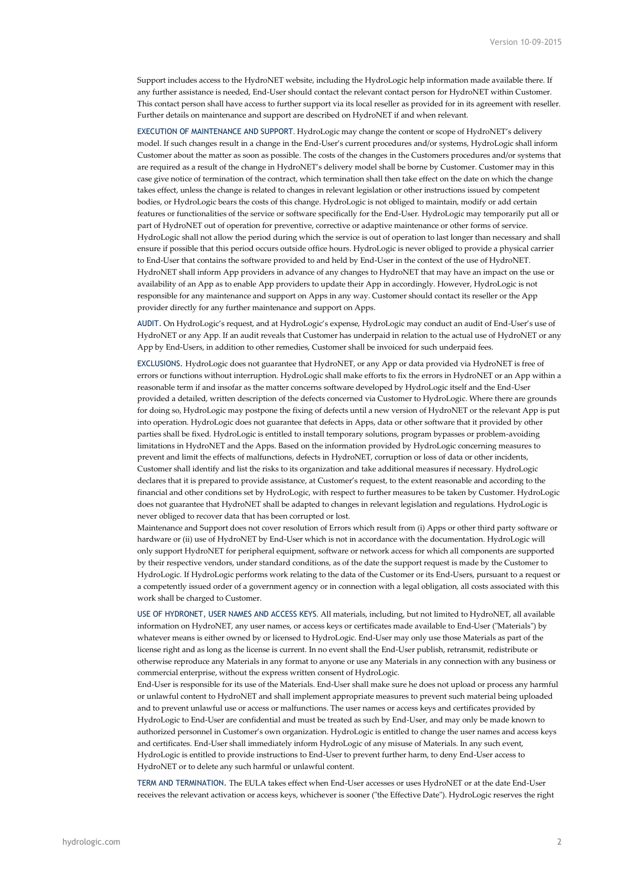Support includes access to the HydroNET website, including the HydroLogic help information made available there. If any further assistance is needed, End-User should contact the relevant contact person for HydroNET within Customer. This contact person shall have access to further support via its local reseller as provided for in its agreement with reseller. Further details on maintenance and support are described on HydroNET if and when relevant.

EXECUTION OF MAINTENANCE AND SUPPORT. HydroLogic may change the content or scope of HydroNET's delivery model. If such changes result in a change in the End-User's current procedures and/or systems, HydroLogic shall inform Customer about the matter as soon as possible. The costs of the changes in the Customers procedures and/or systems that are required as a result of the change in HydroNET's delivery model shall be borne by Customer. Customer may in this case give notice of termination of the contract, which termination shall then take effect on the date on which the change takes effect, unless the change is related to changes in relevant legislation or other instructions issued by competent bodies, or HydroLogic bears the costs of this change. HydroLogic is not obliged to maintain, modify or add certain features or functionalities of the service or software specifically for the End-User. HydroLogic may temporarily put all or part of HydroNET out of operation for preventive, corrective or adaptive maintenance or other forms of service. HydroLogic shall not allow the period during which the service is out of operation to last longer than necessary and shall ensure if possible that this period occurs outside office hours. HydroLogic is never obliged to provide a physical carrier to End-User that contains the software provided to and held by End-User in the context of the use of HydroNET. HydroNET shall inform App providers in advance of any changes to HydroNET that may have an impact on the use or availability of an App as to enable App providers to update their App in accordingly. However, HydroLogic is not responsible for any maintenance and support on Apps in any way. Customer should contact its reseller or the App provider directly for any further maintenance and support on Apps.

AUDIT. On HydroLogic's request, and at HydroLogic's expense, HydroLogic may conduct an audit of End-User's use of HydroNET or any App. If an audit reveals that Customer has underpaid in relation to the actual use of HydroNET or any App by End-Users, in addition to other remedies, Customer shall be invoiced for such underpaid fees.

EXCLUSIONS. HydroLogic does not guarantee that HydroNET, or any App or data provided via HydroNET is free of errors or functions without interruption. HydroLogic shall make efforts to fix the errors in HydroNET or an App within a reasonable term if and insofar as the matter concerns software developed by HydroLogic itself and the End-User provided a detailed, written description of the defects concerned via Customer to HydroLogic. Where there are grounds for doing so, HydroLogic may postpone the fixing of defects until a new version of HydroNET or the relevant App is put into operation. HydroLogic does not guarantee that defects in Apps, data or other software that it provided by other parties shall be fixed. HydroLogic is entitled to install temporary solutions, program bypasses or problem-avoiding limitations in HydroNET and the Apps. Based on the information provided by HydroLogic concerning measures to prevent and limit the effects of malfunctions, defects in HydroNET, corruption or loss of data or other incidents, Customer shall identify and list the risks to its organization and take additional measures if necessary. HydroLogic declares that it is prepared to provide assistance, at Customer's request, to the extent reasonable and according to the financial and other conditions set by HydroLogic, with respect to further measures to be taken by Customer. HydroLogic does not guarantee that HydroNET shall be adapted to changes in relevant legislation and regulations. HydroLogic is never obliged to recover data that has been corrupted or lost.

Maintenance and Support does not cover resolution of Errors which result from (i) Apps or other third party software or hardware or (ii) use of HydroNET by End-User which is not in accordance with the documentation. HydroLogic will only support HydroNET for peripheral equipment, software or network access for which all components are supported by their respective vendors, under standard conditions, as of the date the support request is made by the Customer to HydroLogic. If HydroLogic performs work relating to the data of the Customer or its End-Users, pursuant to a request or a competently issued order of a government agency or in connection with a legal obligation, all costs associated with this work shall be charged to Customer.

USE OF HYDRONET, USER NAMES AND ACCESS KEYS. All materials, including, but not limited to HydroNET, all available information on HydroNET, any user names, or access keys or certificates made available to End-User ("Materials") by whatever means is either owned by or licensed to HydroLogic. End-User may only use those Materials as part of the license right and as long as the license is current. In no event shall the End-User publish, retransmit, redistribute or otherwise reproduce any Materials in any format to anyone or use any Materials in any connection with any business or commercial enterprise, without the express written consent of HydroLogic.

End-User is responsible for its use of the Materials. End-User shall make sure he does not upload or process any harmful or unlawful content to HydroNET and shall implement appropriate measures to prevent such material being uploaded and to prevent unlawful use or access or malfunctions. The user names or access keys and certificates provided by HydroLogic to End-User are confidential and must be treated as such by End-User, and may only be made known to authorized personnel in Customer's own organization. HydroLogic is entitled to change the user names and access keys and certificates. End-User shall immediately inform HydroLogic of any misuse of Materials. In any such event, HydroLogic is entitled to provide instructions to End-User to prevent further harm, to deny End-User access to HydroNET or to delete any such harmful or unlawful content.

TERM AND TERMINATION. The EULA takes effect when End-User accesses or uses HydroNET or at the date End-User receives the relevant activation or access keys, whichever is sooner ("the Effective Date"). HydroLogic reserves the right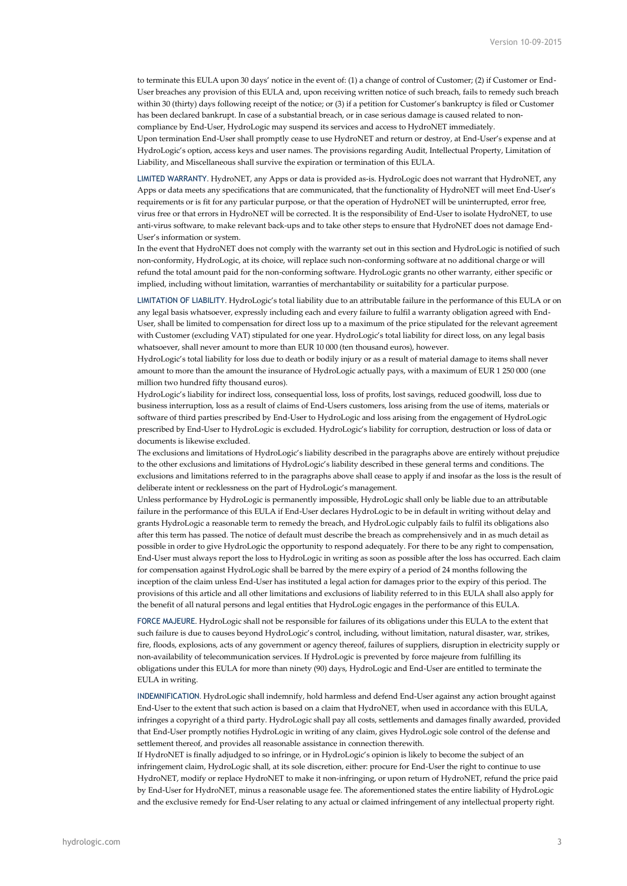to terminate this EULA upon 30 days' notice in the event of: (1) a change of control of Customer; (2) if Customer or End-User breaches any provision of this EULA and, upon receiving written notice of such breach, fails to remedy such breach within 30 (thirty) days following receipt of the notice; or (3) if a petition for Customer's bankruptcy is filed or Customer has been declared bankrupt. In case of a substantial breach, or in case serious damage is caused related to noncompliance by End-User, HydroLogic may suspend its services and access to HydroNET immediately. Upon termination End-User shall promptly cease to use HydroNET and return or destroy, at End-User's expense and at HydroLogic's option, access keys and user names. The provisions regarding Audit, Intellectual Property, Limitation of Liability, and Miscellaneous shall survive the expiration or termination of this EULA.

LIMITED WARRANTY. HydroNET, any Apps or data is provided as-is. HydroLogic does not warrant that HydroNET, any Apps or data meets any specifications that are communicated, that the functionality of HydroNET will meet End-User's requirements or is fit for any particular purpose, or that the operation of HydroNET will be uninterrupted, error free, virus free or that errors in HydroNET will be corrected. It is the responsibility of End-User to isolate HydroNET, to use anti-virus software, to make relevant back-ups and to take other steps to ensure that HydroNET does not damage End-User's information or system.

In the event that HydroNET does not comply with the warranty set out in this section and HydroLogic is notified of such non-conformity, HydroLogic, at its choice, will replace such non-conforming software at no additional charge or will refund the total amount paid for the non-conforming software. HydroLogic grants no other warranty, either specific or implied, including without limitation, warranties of merchantability or suitability for a particular purpose.

LIMITATION OF LIABILITY. HydroLogic's total liability due to an attributable failure in the performance of this EULA or on any legal basis whatsoever, expressly including each and every failure to fulfil a warranty obligation agreed with End-User, shall be limited to compensation for direct loss up to a maximum of the price stipulated for the relevant agreement with Customer (excluding VAT) stipulated for one year. HydroLogic's total liability for direct loss, on any legal basis whatsoever, shall never amount to more than EUR 10 000 (ten thousand euros), however.

HydroLogic's total liability for loss due to death or bodily injury or as a result of material damage to items shall never amount to more than the amount the insurance of HydroLogic actually pays, with a maximum of EUR 1 250 000 (one million two hundred fifty thousand euros).

HydroLogic's liability for indirect loss, consequential loss, loss of profits, lost savings, reduced goodwill, loss due to business interruption, loss as a result of claims of End-Users customers, loss arising from the use of items, materials or software of third parties prescribed by End-User to HydroLogic and loss arising from the engagement of HydroLogic prescribed by End-User to HydroLogic is excluded. HydroLogic's liability for corruption, destruction or loss of data or documents is likewise excluded.

The exclusions and limitations of HydroLogic's liability described in the paragraphs above are entirely without prejudice to the other exclusions and limitations of HydroLogic's liability described in these general terms and conditions. The exclusions and limitations referred to in the paragraphs above shall cease to apply if and insofar as the loss is the result of deliberate intent or recklessness on the part of HydroLogic's management.

Unless performance by HydroLogic is permanently impossible, HydroLogic shall only be liable due to an attributable failure in the performance of this EULA if End-User declares HydroLogic to be in default in writing without delay and grants HydroLogic a reasonable term to remedy the breach, and HydroLogic culpably fails to fulfil its obligations also after this term has passed. The notice of default must describe the breach as comprehensively and in as much detail as possible in order to give HydroLogic the opportunity to respond adequately. For there to be any right to compensation, End-User must always report the loss to HydroLogic in writing as soon as possible after the loss has occurred. Each claim for compensation against HydroLogic shall be barred by the mere expiry of a period of 24 months following the inception of the claim unless End-User has instituted a legal action for damages prior to the expiry of this period. The provisions of this article and all other limitations and exclusions of liability referred to in this EULA shall also apply for the benefit of all natural persons and legal entities that HydroLogic engages in the performance of this EULA.

FORCE MAJEURE. HydroLogic shall not be responsible for failures of its obligations under this EULA to the extent that such failure is due to causes beyond HydroLogic's control, including, without limitation, natural disaster, war, strikes, fire, floods, explosions, acts of any government or agency thereof, failures of suppliers, disruption in electricity supply or non-availability of telecommunication services. If HydroLogic is prevented by force majeure from fulfilling its obligations under this EULA for more than ninety (90) days, HydroLogic and End-User are entitled to terminate the EULA in writing.

INDEMNIFICATION. HydroLogic shall indemnify, hold harmless and defend End-User against any action brought against End-User to the extent that such action is based on a claim that HydroNET, when used in accordance with this EULA, infringes a copyright of a third party. HydroLogic shall pay all costs, settlements and damages finally awarded, provided that End-User promptly notifies HydroLogic in writing of any claim, gives HydroLogic sole control of the defense and settlement thereof, and provides all reasonable assistance in connection therewith.

If HydroNET is finally adjudged to so infringe, or in HydroLogic's opinion is likely to become the subject of an infringement claim, HydroLogic shall, at its sole discretion, either: procure for End-User the right to continue to use HydroNET, modify or replace HydroNET to make it non-infringing, or upon return of HydroNET, refund the price paid by End-User for HydroNET, minus a reasonable usage fee. The aforementioned states the entire liability of HydroLogic and the exclusive remedy for End-User relating to any actual or claimed infringement of any intellectual property right.